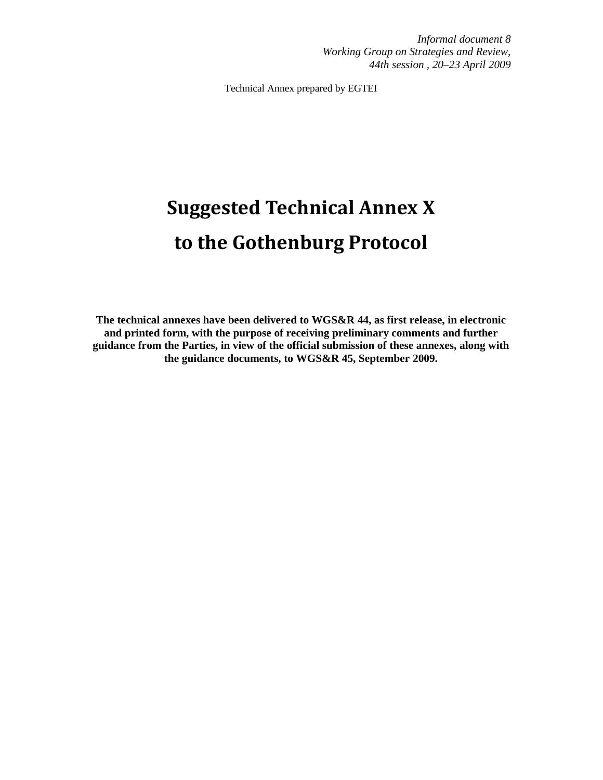*Informal document 8 Working Group on Strategies and Review, 44th session , 20–23 April 2009* 

Technical Annex prepared by EGTEI

# Suggested Technical Annex X to the Gothenburg Protocol

**The technical annexes have been delivered to WGS&R 44, as first release, in electronic and printed form, with the purpose of receiving preliminary comments and further guidance from the Parties, in view of the official submission of these annexes, along with the guidance documents, to WGS&R 45, September 2009.**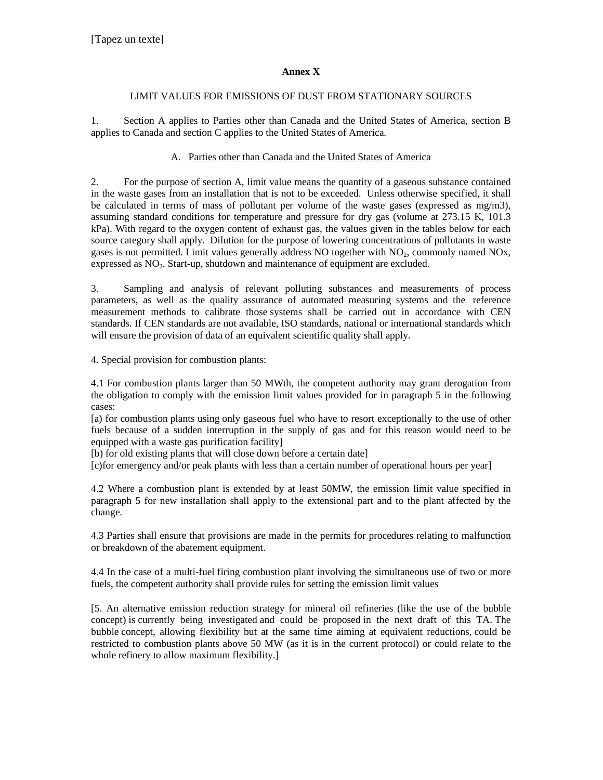#### **Annex X**

#### LIMIT VALUES FOR EMISSIONS OF DUST FROM STATIONARY SOURCES

1. Section A applies to Parties other than Canada and the United States of America, section B applies to Canada and section C applies to the United States of America.

#### A. Parties other than Canada and the United States of America

2. For the purpose of section A, limit value means the quantity of a gaseous substance contained in the waste gases from an installation that is not to be exceeded. Unless otherwise specified, it shall be calculated in terms of mass of pollutant per volume of the waste gases (expressed as mg/m3), assuming standard conditions for temperature and pressure for dry gas (volume at 273.15 K, 101.3 kPa). With regard to the oxygen content of exhaust gas, the values given in the tables below for each source category shall apply. Dilution for the purpose of lowering concentrations of pollutants in waste gases is not permitted. Limit values generally address NO together with  $NO<sub>2</sub>$ , commonly named  $NO<sub>X</sub>$ , expressed as NO<sub>2</sub>. Start-up, shutdown and maintenance of equipment are excluded.

3. Sampling and analysis of relevant polluting substances and measurements of process parameters, as well as the quality assurance of automated measuring systems and the reference measurement methods to calibrate those systems shall be carried out in accordance with CEN standards. If CEN standards are not available, ISO standards, national or international standards which will ensure the provision of data of an equivalent scientific quality shall apply.

4. Special provision for combustion plants:

4.1 For combustion plants larger than 50 MWth, the competent authority may grant derogation from the obligation to comply with the emission limit values provided for in paragraph 5 in the following cases:

[a) for combustion plants using only gaseous fuel who have to resort exceptionally to the use of other fuels because of a sudden interruption in the supply of gas and for this reason would need to be equipped with a waste gas purification facility]

[b) for old existing plants that will close down before a certain date]

[c)for emergency and/or peak plants with less than a certain number of operational hours per year]

4.2 Where a combustion plant is extended by at least 50MW, the emission limit value specified in paragraph 5 for new installation shall apply to the extensional part and to the plant affected by the change.

4.3 Parties shall ensure that provisions are made in the permits for procedures relating to malfunction or breakdown of the abatement equipment.

4.4 In the case of a multi-fuel firing combustion plant involving the simultaneous use of two or more fuels, the competent authority shall provide rules for setting the emission limit values

[5. An alternative emission reduction strategy for mineral oil refineries (like the use of the bubble concept) is currently being investigated and could be proposed in the next draft of this TA. The bubble concept, allowing flexibility but at the same time aiming at equivalent reductions, could be restricted to combustion plants above 50 MW (as it is in the current protocol) or could relate to the whole refinery to allow maximum flexibility.]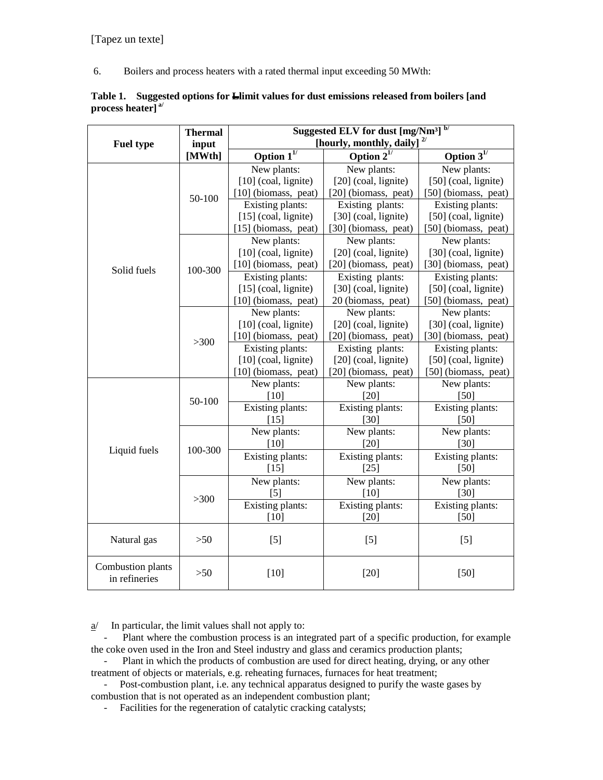6. Boilers and process heaters with a rated thermal input exceeding 50 MWth:

|                      | Table 1. Suggested options for Lelimit values for dust emissions released from boilers [and |
|----------------------|---------------------------------------------------------------------------------------------|
| process heater] $a/$ |                                                                                             |

|                   | <b>Thermal</b> | Suggested ELV for dust $[mg/Nm3]$ <sup>b/</sup> |                                  |                      |  |
|-------------------|----------------|-------------------------------------------------|----------------------------------|----------------------|--|
| <b>Fuel type</b>  | input          |                                                 | [hourly, monthly, daily] $^{2/}$ |                      |  |
|                   | [MWth]         | Option $1^{1/2}$                                | Option $2^{1/2}$                 | Option $3^{1/2}$     |  |
|                   |                | New plants:                                     | New plants:                      | New plants:          |  |
|                   |                | [10] (coal, lignite)                            | [20] (coal, lignite)             | [50] (coal, lignite) |  |
|                   | 50-100         | [10] (biomass, peat)                            | [20] (biomass, peat)             | [50] (biomass, peat) |  |
|                   |                | Existing plants:                                | Existing plants:                 | Existing plants:     |  |
|                   |                | $[15]$ (coal, lignite)                          | [30] (coal, lignite)             | [50] (coal, lignite) |  |
|                   |                | [15] (biomass, peat)                            | [30] (biomass, peat)             | [50] (biomass, peat) |  |
|                   |                | New plants:                                     | New plants:                      | New plants:          |  |
|                   |                | [10] (coal, lignite)                            | [20] (coal, lignite)             | [30] (coal, lignite) |  |
| Solid fuels       | 100-300        | [10] (biomass, peat)                            | [20] (biomass, peat)             | [30] (biomass, peat) |  |
|                   |                | Existing plants:                                | Existing plants:                 | Existing plants:     |  |
|                   |                | $[15]$ (coal, lignite)                          | [30] (coal, lignite)             | [50] (coal, lignite) |  |
|                   |                | [10] (biomass, peat)                            | 20 (biomass, peat)               | [50] (biomass, peat) |  |
|                   |                | New plants:                                     | New plants:                      | New plants:          |  |
|                   |                | [10] (coal, lignite)                            | [20] (coal, lignite)             | [30] (coal, lignite) |  |
|                   | >300           | [10] (biomass, peat)                            | [20] (biomass, peat)             | [30] (biomass, peat) |  |
|                   |                | Existing plants:                                | Existing plants:                 | Existing plants:     |  |
|                   |                | [10] (coal, lignite)                            | [20] (coal, lignite)             | [50] (coal, lignite) |  |
|                   |                | [10] (biomass, peat)                            | [20] (biomass, peat)             | [50] (biomass, peat) |  |
|                   |                | New plants:                                     | New plants:                      | New plants:          |  |
|                   | 50-100         | [10]                                            | [20]                             | [50]                 |  |
|                   |                | Existing plants:                                | Existing plants:                 | Existing plants:     |  |
|                   |                | $[15]$                                          | [30]                             | [50]                 |  |
|                   |                | New plants:                                     | New plants:                      | New plants:          |  |
| Liquid fuels      | 100-300        | [10]                                            | [20]                             | [30]                 |  |
|                   |                | Existing plants:                                | Existing plants:                 | Existing plants:     |  |
|                   |                | $[15]$                                          | $[25]$                           | [50]                 |  |
|                   |                | New plants:                                     | New plants:                      | New plants:          |  |
|                   | >300           | $\lceil 5 \rceil$                               | [10]                             | $[30]$               |  |
|                   |                | Existing plants:                                | Existing plants:                 | Existing plants:     |  |
|                   |                | [10]                                            | $[20]$                           | $[50]$               |  |
|                   |                |                                                 |                                  |                      |  |
| Natural gas       | >50            | [5]                                             | $[5]$                            | $[5]$                |  |
| Combustion plants |                |                                                 |                                  |                      |  |
| in refineries     | $>50$          | $[10]$                                          | $[20]$                           | $[50]$               |  |

 $a$ <sup>*I*</sup> In particular, the limit values shall not apply to:

Plant where the combustion process is an integrated part of a specific production, for example the coke oven used in the Iron and Steel industry and glass and ceramics production plants;

Plant in which the products of combustion are used for direct heating, drying, or any other treatment of objects or materials, e.g. reheating furnaces, furnaces for heat treatment;

 - Post-combustion plant, i.e. any technical apparatus designed to purify the waste gases by combustion that is not operated as an independent combustion plant;

- Facilities for the regeneration of catalytic cracking catalysts;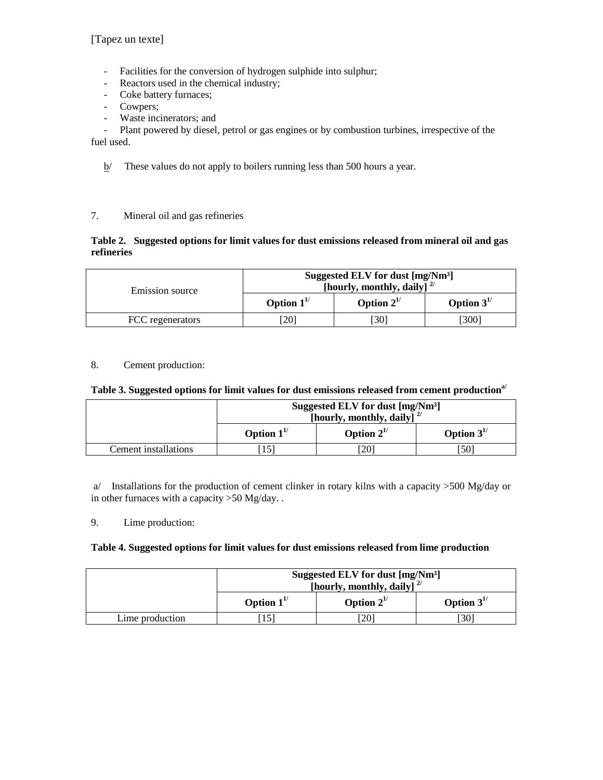[Tapez un texte]

- Facilities for the conversion of hydrogen sulphide into sulphur;
- Reactors used in the chemical industry;
- Coke battery furnaces;
- Cowpers;
- Waste incinerators; and

 - Plant powered by diesel, petrol or gas engines or by combustion turbines, irrespective of the fuel used.

 $b$  These values do not apply to boilers running less than 500 hours a year.

#### 7. Mineral oil and gas refineries

#### **Table 2. Suggested options for limit values for dust emissions released from mineral oil and gas refineries**

| Emission source  | Suggested ELV for dust [mg/Nm <sup>3</sup> ]<br>[hourly, monthly, daily] $^{2/}$ |                  |                  |
|------------------|----------------------------------------------------------------------------------|------------------|------------------|
|                  | Option $1^{1/2}$                                                                 | Option $2^{1/2}$ | Option $3^{1/2}$ |
| FCC regenerators | '201                                                                             | [30]             | [300]            |

## 8. Cement production:

#### **Table 3. Suggested options for limit values for dust emissions released from cement productiona/**

|                      | Suggested ELV for dust [mg/Nm <sup>3</sup> ]<br>[hourly, monthly, daily] $^{2/}$ |     |    |
|----------------------|----------------------------------------------------------------------------------|-----|----|
|                      | Option $3^{1/2}$<br>Option $1^{1/2}$<br>Option $2^{1/2}$                         |     |    |
| Cement installations |                                                                                  | 201 | 50 |

 a/ Installations for the production of cement clinker in rotary kilns with a capacity >500 Mg/day or in other furnaces with a capacity >50 Mg/day. .

#### 9. Lime production:

#### **Table 4. Suggested options for limit values for dust emissions released from lime production**

|                 | Suggested ELV for dust [mg/Nm <sup>3</sup> ]<br>[hourly, monthly, daily] $^{2/}$ |     |     |  |
|-----------------|----------------------------------------------------------------------------------|-----|-----|--|
|                 | Option $3^{1/2}$<br>Option $1^{1/2}$<br>Option $2^{1/2}$                         |     |     |  |
| Lime production |                                                                                  | 201 | 301 |  |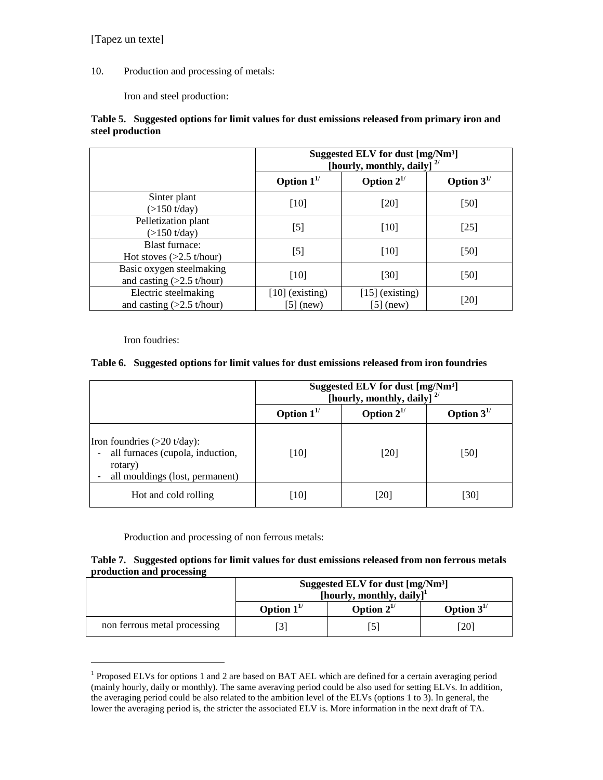10. Production and processing of metals:

Iron and steel production:

## **Table 5. Suggested options for limit values for dust emissions released from primary iron and steel production**

|                                                         | Suggested ELV for dust [mg/Nm <sup>3</sup> ]<br>[hourly, monthly, daily] $^{2/}$ |                                  |                  |
|---------------------------------------------------------|----------------------------------------------------------------------------------|----------------------------------|------------------|
|                                                         | Option $1^{1/2}$                                                                 | Option $2^{1/2}$                 | Option $3^{1/2}$ |
| Sinter plant<br>(>150 t/day)                            | [10]                                                                             | [20]                             | [50]             |
| Pelletization plant<br>$(>150 \text{ t/day})$           | $[5]$                                                                            | [10]                             | $[25]$           |
| <b>Blast furnace:</b><br>Hot stoves $(>2.5$ t/hour)     | $[5]$                                                                            | [10]                             | $[50]$           |
| Basic oxygen steelmaking<br>and casting $(>2.5$ t/hour) | [10]                                                                             | [30]                             | $[50]$           |
| Electric steelmaking<br>and casting $(>2.5$ t/hour)     | $[10]$ (existing)<br>[5] (new)                                                   | $[15]$ (existing)<br>[5] $(new)$ | [20]             |

Iron foudries:

-

## **Table 6. Suggested options for limit values for dust emissions released from iron foundries**

|                                                                                                                          | Suggested ELV for dust [mg/Nm <sup>3</sup> ]<br>[hourly, monthly, daily] $^{2/}$ |                  |                  |
|--------------------------------------------------------------------------------------------------------------------------|----------------------------------------------------------------------------------|------------------|------------------|
|                                                                                                                          | Option $1^{1/2}$                                                                 | Option $2^{1/2}$ | Option $3^{1/2}$ |
| Iron foundries $(>20 \text{ t/day})$ :<br>all furnaces (cupola, induction,<br>rotary)<br>all mouldings (lost, permanent) | [10]                                                                             | [20]             | [50]             |
| Hot and cold rolling                                                                                                     | 1101                                                                             | [20]             | 301              |

Production and processing of non ferrous metals:

#### **Table 7. Suggested options for limit values for dust emissions released from non ferrous metals production and processing**

|                              | Suggested ELV for dust [mg/Nm <sup>3</sup> ]<br>[hourly, monthly, daily] <sup>1</sup> |                  |                  |
|------------------------------|---------------------------------------------------------------------------------------|------------------|------------------|
|                              | Option $1^{1/2}$                                                                      | Option $2^{1/2}$ | Option $3^{1/2}$ |
| non ferrous metal processing |                                                                                       | 51ع              | [20]             |

<sup>&</sup>lt;sup>1</sup> Proposed ELVs for options 1 and 2 are based on BAT AEL which are defined for a certain averaging period (mainly hourly, daily or monthly). The same averaving period could be also used for setting ELVs. In addition, the averaging period could be also related to the ambition level of the ELVs (options 1 to 3). In general, the lower the averaging period is, the stricter the associated ELV is. More information in the next draft of TA.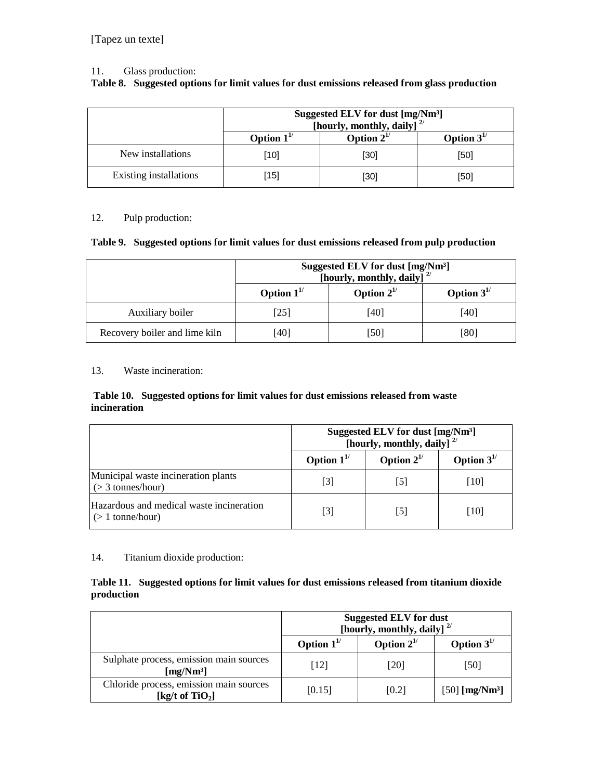#### 11. Glass production:

## **Table 8. Suggested options for limit values for dust emissions released from glass production**

|                        | Suggested ELV for dust [mg/Nm <sup>3</sup> ]<br>[hourly, monthly, daily] $^{2/}$ |      |      |  |  |
|------------------------|----------------------------------------------------------------------------------|------|------|--|--|
|                        | Option $2^{1/2}$<br>Option $3^{1/2}$<br>Option $1^{1/2}$                         |      |      |  |  |
| New installations      | [10]                                                                             | [30] | [50] |  |  |
| Existing installations | [15]                                                                             | [30] | [50] |  |  |

## 12. Pulp production:

#### **Table 9. Suggested options for limit values for dust emissions released from pulp production**

|                               | Suggested ELV for dust [mg/Nm <sup>3</sup> ]<br>[hourly, monthly, daily] $^{2/}$ |      |      |  |
|-------------------------------|----------------------------------------------------------------------------------|------|------|--|
|                               | Option $2^{1/2}$<br>Option $1^{1/2}$<br>Option $3^{1/2}$                         |      |      |  |
| Auxiliary boiler              | [25]                                                                             | [40] | [40] |  |
| Recovery boiler and lime kiln | [40]                                                                             | [50] | [80] |  |

#### 13. Waste incineration:

#### **Table 10. Suggested options for limit values for dust emissions released from waste incineration**

|                                                               | Suggested ELV for dust [mg/Nm <sup>3</sup> ]<br>[hourly, monthly, daily] $^{2/}$ |                  |                  |
|---------------------------------------------------------------|----------------------------------------------------------------------------------|------------------|------------------|
|                                                               | Option $1^{1/2}$                                                                 | Option $2^{1/2}$ | Option $3^{1/2}$ |
| Municipal waste incineration plants<br>$($ > 3 tonnes/hour)   | [3]                                                                              | I5I              | [10]             |
| Hazardous and medical waste incineration<br>$($ 1 tonne/hour) | [3]                                                                              | 15 I             | [10]             |

## 14. Titanium dioxide production:

## **Table 11. Suggested options for limit values for dust emissions released from titanium dioxide production**

|                                                                  | <b>Suggested ELV for dust</b><br>[hourly, monthly, daily] $^{2/}$ |                  |                              |
|------------------------------------------------------------------|-------------------------------------------------------------------|------------------|------------------------------|
|                                                                  | Option $1^{1/2}$                                                  | Option $2^{1/2}$ | Option $3^{1/2}$             |
| Sulphate process, emission main sources<br>[mg/Nm <sup>3</sup> ] | [12]                                                              | [20]             | [50]                         |
| Chloride process, emission main sources<br>[kg/t of $TiO2$ ]     | [0.15]                                                            | [0.2]            | $[50]$ [mg/Nm <sup>3</sup> ] |